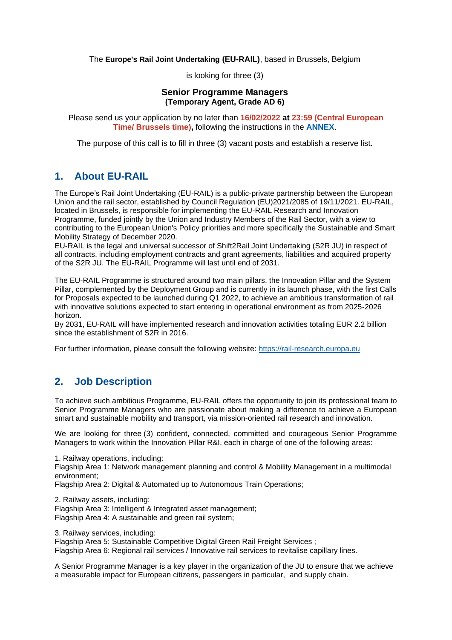The **Europe's Rail Joint Undertaking (EU-RAIL)**, based in Brussels, Belgium

is looking for three (3)

### **Senior Programme Managers (Temporary Agent, Grade AD 6)**

Please send us your application by no later than **16/02/2022 at 23:59 (Central European Time/ Brussels time),** following the instructions in the **[ANNEX](https://shift2rail.org/wp-content/uploads/2022/01/Annex-to-the-vacancy-notice_EU-RAIL.pdf)**.

The purpose of this call is to fill in three (3) vacant posts and establish a reserve list.

### **1. About EU-RAIL**

The Europe's Rail Joint Undertaking (EU-RAIL) is a public-private partnership between the European Union and the rail sector, established by Council Regulation (EU)2021/2085 of 19/11/2021. EU-RAIL, located in Brussels, is responsible for implementing the EU-RAIL Research and Innovation Programme, funded jointly by the Union and Industry Members of the Rail Sector, with a view to contributing to the European Union's Policy priorities and more specifically the Sustainable and Smart Mobility Strategy of December 2020.

EU-RAIL is the legal and universal successor of Shift2Rail Joint Undertaking (S2R JU) in respect of all contracts, including employment contracts and grant agreements, liabilities and acquired property of the S2R JU. The EU-RAIL Programme will last until end of 2031.

The EU-RAIL Programme is structured around two main pillars, the Innovation Pillar and the System Pillar, complemented by the Deployment Group and is currently in its launch phase, with the first Calls for Proposals expected to be launched during Q1 2022, to achieve an ambitious transformation of rail with innovative solutions expected to start entering in operational environment as from 2025-2026 horizon.

By 2031, EU-RAIL will have implemented research and innovation activities totaling EUR 2.2 billion since the establishment of S2R in 2016.

For further information, please consult the following website: [https://rail-research.europa.eu](https://shift2rail.org/)

# **2. Job Description**

To achieve such ambitious Programme, EU-RAIL offers the opportunity to join its professional team to Senior Programme Managers who are passionate about making a difference to achieve a European smart and sustainable mobility and transport, via mission-oriented rail research and innovation.

We are looking for three (3) confident, connected, committed and courageous Senior Programme Managers to work within the Innovation Pillar R&I, each in charge of one of the following areas:

1. Railway operations, including: Flagship Area 1: Network management planning and control & Mobility Management in a multimodal environment;

Flagship Area 2: Digital & Automated up to Autonomous Train Operations;

2. Railway assets, including:

Flagship Area 3: Intelligent & Integrated asset management; Flagship Area 4: A sustainable and green rail system;

3. Railway services, including:

Flagship Area 5: Sustainable Competitive Digital Green Rail Freight Services ;

Flagship Area 6: Regional rail services / Innovative rail services to revitalise capillary lines.

A Senior Programme Manager is a key player in the organization of the JU to ensure that we achieve a measurable impact for European citizens, passengers in particular, and supply chain.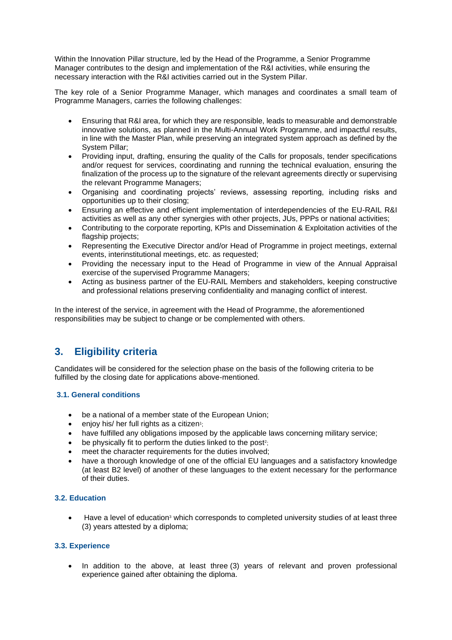Within the Innovation Pillar structure, led by the Head of the Programme, a Senior Programme Manager contributes to the design and implementation of the R&I activities, while ensuring the necessary interaction with the R&I activities carried out in the System Pillar.

The key role of a Senior Programme Manager, which manages and coordinates a small team of Programme Managers, carries the following challenges:

- Ensuring that R&I area, for which they are responsible, leads to measurable and demonstrable innovative solutions, as planned in the Multi-Annual Work Programme, and impactful results, in line with the Master Plan, while preserving an integrated system approach as defined by the System Pillar;
- Providing input, drafting, ensuring the quality of the Calls for proposals, tender specifications and/or request for services, coordinating and running the technical evaluation, ensuring the finalization of the process up to the signature of the relevant agreements directly or supervising the relevant Programme Managers;
- Organising and coordinating projects' reviews, assessing reporting, including risks and opportunities up to their closing;
- Ensuring an effective and efficient implementation of interdependencies of the EU-RAIL R&I activities as well as any other synergies with other projects, JUs, PPPs or national activities;
- Contributing to the corporate reporting, KPIs and Dissemination & Exploitation activities of the flagship projects;
- Representing the Executive Director and/or Head of Programme in project meetings, external events, interinstitutional meetings, etc. as requested;
- Providing the necessary input to the Head of Programme in view of the Annual Appraisal exercise of the supervised Programme Managers;
- Acting as business partner of the EU-RAIL Members and stakeholders, keeping constructive and professional relations preserving confidentiality and managing conflict of interest.

In the interest of the service, in agreement with the Head of Programme, the aforementioned responsibilities may be subject to change or be complemented with others.

# **3. Eligibility criteria**

Candidates will be considered for the selection phase on the basis of the following criteria to be fulfilled by the closing date for applications above-mentioned.

### **3.1. General conditions**

- be a national of a member state of the European Union;
- enjoy his/ her full rights as a citizen<sup>1</sup>;
- have fulfilled any obligations imposed by the applicable laws concerning military service;
- be physically fit to perform the duties linked to the post<sup>2</sup>;
- meet the character requirements for the duties involved;
- have a thorough knowledge of one of the official EU languages and a satisfactory knowledge (at least B2 level) of another of these languages to the extent necessary for the performance of their duties.

### **3.2. Education**

• Have a level of education<sup>3</sup> which corresponds to completed university studies of at least three (3) years attested by a diploma;

### **3.3. Experience**

• In addition to the above, at least three (3) years of relevant and proven professional experience gained after obtaining the diploma.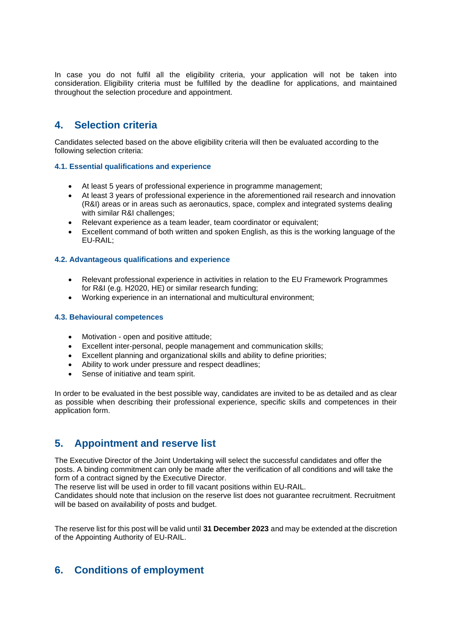In case you do not fulfil all the eligibility criteria, your application will not be taken into consideration. Eligibility criteria must be fulfilled by the deadline for applications, and maintained throughout the selection procedure and appointment.

# **4. Selection criteria**

Candidates selected based on the above eligibility criteria will then be evaluated according to the following selection criteria:

#### **4.1. Essential qualifications and experience**

- At least 5 years of professional experience in programme management;
- At least 3 years of professional experience in the aforementioned rail research and innovation (R&I) areas or in areas such as aeronautics, space, complex and integrated systems dealing with similar R&I challenges;
- Relevant experience as a team leader, team coordinator or equivalent;
- Excellent command of both written and spoken English, as this is the working language of the EU-RAIL;

#### **4.2. Advantageous qualifications and experience**

- Relevant professional experience in activities in relation to the EU Framework Programmes for R&I (e.g. H2020, HE) or similar research funding;
- Working experience in an international and multicultural environment;

#### **4.3. Behavioural competences**

- Motivation open and positive attitude;
- Excellent inter-personal, people management and communication skills;
- Excellent planning and organizational skills and ability to define priorities;
- Ability to work under pressure and respect deadlines;
- Sense of initiative and team spirit.

In order to be evaluated in the best possible way, candidates are invited to be as detailed and as clear as possible when describing their professional experience, specific skills and competences in their application form.

### **5. Appointment and reserve list**

The Executive Director of the Joint Undertaking will select the successful candidates and offer the posts. A binding commitment can only be made after the verification of all conditions and will take the form of a contract signed by the Executive Director.

The reserve list will be used in order to fill vacant positions within EU-RAIL.

Candidates should note that inclusion on the reserve list does not guarantee recruitment. Recruitment will be based on availability of posts and budget.

The reserve list for this post will be valid until **31 December 2023** and may be extended at the discretion of the Appointing Authority of EU-RAIL.

# **6. Conditions of employment**